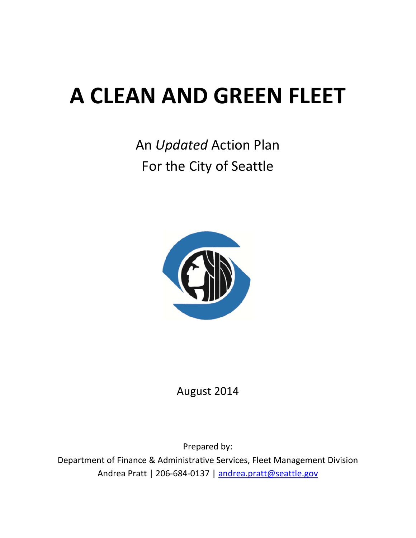# **A CLEAN AND GREEN FLEET**

## An *Updated* Action Plan For the City of Seattle



August 2014

Prepared by: Department of Finance & Administrative Services, Fleet Management Division Andrea Pratt | 206-684-0137 | andrea.pratt@seattle.gov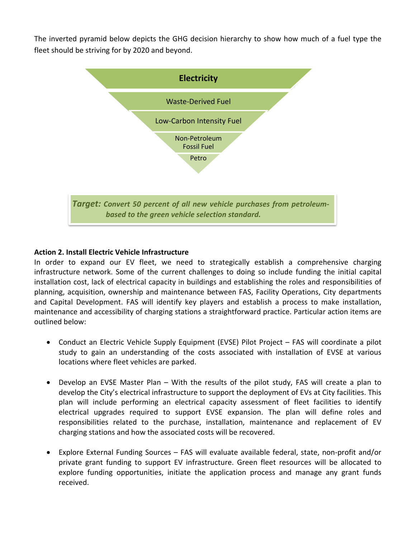The inverted pyramid below depicts the GHG decision hierarchy to show how much of a fuel type the fleet should be striving for by 2020 and beyond.



#### **Action 2. Install Electric Vehicle Infrastructure**

In order to expand our EV fleet, we need to strategically establish a comprehensive charging infrastructure network. Some of the current challenges to doing so include funding the initial capital installation cost, lack of electrical capacity in buildings and establishing the roles and responsibilities of planning, acquisition, ownership and maintenance between FAS, Facility Operations, City departments and Capital Development. FAS will identify key players and establish a process to make installation, maintenance and accessibility of charging stations a straightforward practice. Particular action items are outlined below:

- Conduct an Electric Vehicle Supply Equipment (EVSE) Pilot Project FAS will coordinate a pilot study to gain an understanding of the costs associated with installation of EVSE at various locations where fleet vehicles are parked.
- Develop an EVSE Master Plan With the results of the pilot study, FAS will create a plan to develop the City's electrical infrastructure to support the deployment of EVs at City facilities. This plan will include performing an electrical capacity assessment of fleet facilities to identify electrical upgrades required to support EVSE expansion. The plan will define roles and responsibilities related to the purchase, installation, maintenance and replacement of EV charging stations and how the associated costs will be recovered.
- Explore External Funding Sources FAS will evaluate available federal, state, non‐profit and/or private grant funding to support EV infrastructure. Green fleet resources will be allocated to explore funding opportunities, initiate the application process and manage any grant funds received.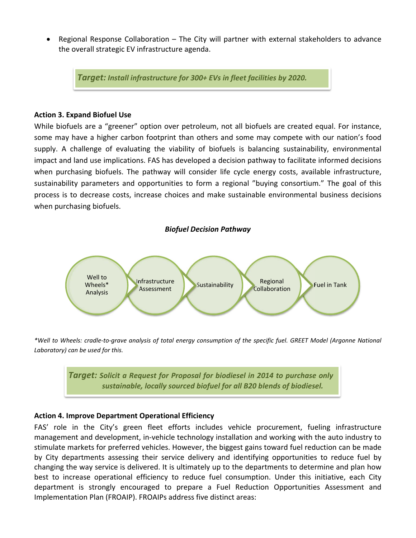Regional Response Collaboration – The City will partner with external stakeholders to advance the overall strategic EV infrastructure agenda.

*Target: Install infrastructure for 300+ EVs in fleet facilities by 2020.*

#### **Action 3. Expand Biofuel Use**

While biofuels are a "greener" option over petroleum, not all biofuels are created equal. For instance, some may have a higher carbon footprint than others and some may compete with our nation's food supply. A challenge of evaluating the viability of biofuels is balancing sustainability, environmental impact and land use implications. FAS has developed a decision pathway to facilitate informed decisions when purchasing biofuels. The pathway will consider life cycle energy costs, available infrastructure, sustainability parameters and opportunities to form a regional "buying consortium." The goal of this process is to decrease costs, increase choices and make sustainable environmental business decisions when purchasing biofuels.



\*Well to Wheels: cradle-to-grave analysis of total energy consumption of the specific fuel. GREET Model (Argonne National *Laboratory) can be used for this.*

> *Target: Solicit a Request for Proposal for biodiesel in 2014 to purchase only sustainable, locally sourced biofuel for all B20 blends of biodiesel.*

#### **Action 4. Improve Department Operational Efficiency**

FAS' role in the City's green fleet efforts includes vehicle procurement, fueling infrastructure management and development, in‐vehicle technology installation and working with the auto industry to stimulate markets for preferred vehicles. However, the biggest gains toward fuel reduction can be made by City departments assessing their service delivery and identifying opportunities to reduce fuel by changing the way service is delivered. It is ultimately up to the departments to determine and plan how best to increase operational efficiency to reduce fuel consumption. Under this initiative, each City department is strongly encouraged to prepare a Fuel Reduction Opportunities Assessment and Implementation Plan (FROAIP). FROAIPs address five distinct areas: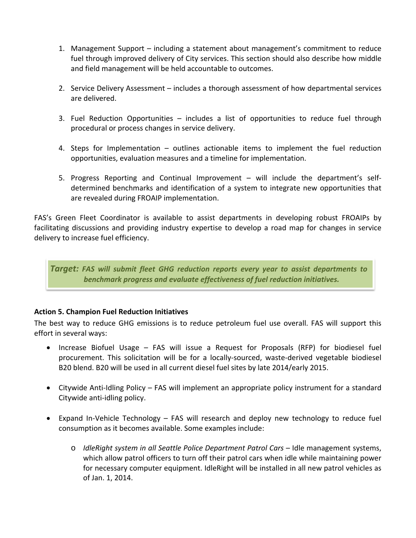- 1. Management Support including a statement about management's commitment to reduce fuel through improved delivery of City services. This section should also describe how middle and field management will be held accountable to outcomes.
- 2. Service Delivery Assessment includes a thorough assessment of how departmental services are delivered.
- 3. Fuel Reduction Opportunities includes a list of opportunities to reduce fuel through procedural or process changes in service delivery.
- 4. Steps for Implementation outlines actionable items to implement the fuel reduction opportunities, evaluation measures and a timeline for implementation.
- 5. Progress Reporting and Continual Improvement will include the department's self‐ determined benchmarks and identification of a system to integrate new opportunities that are revealed during FROAIP implementation.

FAS's Green Fleet Coordinator is available to assist departments in developing robust FROAIPs by facilitating discussions and providing industry expertise to develop a road map for changes in service delivery to increase fuel efficiency.

*Target: FAS will submit fleet GHG reduction reports every year to assist departments to benchmark progress and evaluate effectiveness of fuel reduction initiatives.*

#### **Action 5. Champion Fuel Reduction Initiatives**

The best way to reduce GHG emissions is to reduce petroleum fuel use overall. FAS will support this effort in several ways:

- Increase Biofuel Usage FAS will issue a Request for Proposals (RFP) for biodiesel fuel procurement. This solicitation will be for a locally‐sourced, waste‐derived vegetable biodiesel B20 blend. B20 will be used in all current diesel fuel sites by late 2014/early 2015.
- Citywide Anti‐Idling Policy FAS will implement an appropriate policy instrument for a standard Citywide anti‐idling policy.
- Expand In‐Vehicle Technology FAS will research and deploy new technology to reduce fuel consumption as it becomes available. Some examples include:
	- o *IdleRight system in all Seattle Police Department Patrol Cars* Idle management systems, which allow patrol officers to turn off their patrol cars when idle while maintaining power for necessary computer equipment. IdleRight will be installed in all new patrol vehicles as of Jan. 1, 2014.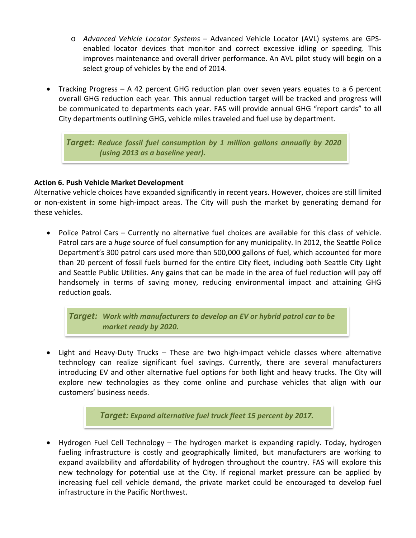- o *Advanced Vehicle Locator Systems* Advanced Vehicle Locator (AVL) systems are GPS‐ enabled locator devices that monitor and correct excessive idling or speeding. This improves maintenance and overall driver performance. An AVL pilot study will begin on a select group of vehicles by the end of 2014.
- Tracking Progress A 42 percent GHG reduction plan over seven years equates to a 6 percent overall GHG reduction each year. This annual reduction target will be tracked and progress will be communicated to departments each year. FAS will provide annual GHG "report cards" to all City departments outlining GHG, vehicle miles traveled and fuel use by department.

*Target: Reduce fossil fuel consumption by 1 million gallons annually by 2020 (using 2013 as a baseline year).*

#### **Action 6. Push Vehicle Market Development**

Alternative vehicle choices have expanded significantly in recent years. However, choices are still limited or non‐existent in some high‐impact areas. The City will push the market by generating demand for these vehicles.

 Police Patrol Cars – Currently no alternative fuel choices are available for this class of vehicle. Patrol cars are a *huge* source of fuel consumption for any municipality. In 2012, the Seattle Police Department's 300 patrol cars used more than 500,000 gallons of fuel, which accounted for more than 20 percent of fossil fuels burned for the entire City fleet, including both Seattle City Light and Seattle Public Utilities. Any gains that can be made in the area of fuel reduction will pay off handsomely in terms of saving money, reducing environmental impact and attaining GHG reduction goals.

*Target: Work with manufacturers to develop an EV or hybrid patrol car to be market ready by 2020.*

 Light and Heavy‐Duty Trucks – These are two high‐impact vehicle classes where alternative technology can realize significant fuel savings. Currently, there are several manufacturers introducing EV and other alternative fuel options for both light and heavy trucks. The City will explore new technologies as they come online and purchase vehicles that align with our customers' business needs.

*Target: Expand alternative fuel truck fleet 15 percent by 2017.*

 Hydrogen Fuel Cell Technology – The hydrogen market is expanding rapidly. Today, hydrogen fueling infrastructure is costly and geographically limited, but manufacturers are working to expand availability and affordability of hydrogen throughout the country. FAS will explore this new technology for potential use at the City. If regional market pressure can be applied by increasing fuel cell vehicle demand, the private market could be encouraged to develop fuel infrastructure in the Pacific Northwest.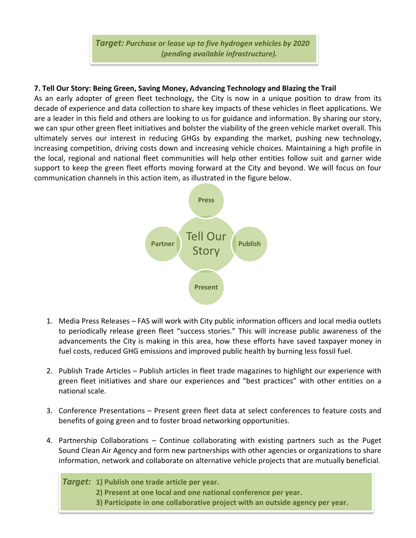*Target: Purchase or lease up to five hydrogen vehicles by 2020 (pending available infrastructure).*

#### **7. Tell Our Story: Being Green, Saving Money, Advancing Technology and Blazing the Trail**

As an early adopter of green fleet technology, the City is now in a unique position to draw from its decade of experience and data collection to share key impacts of these vehicles in fleet applications. We are a leader in this field and others are looking to us for guidance and information. By sharing our story, we can spur other green fleet initiatives and bolster the viability of the green vehicle market overall. This ultimately serves our interest in reducing GHGs by expanding the market, pushing new technology, increasing competition, driving costs down and increasing vehicle choices. Maintaining a high profile in the local, regional and national fleet communities will help other entities follow suit and garner wide support to keep the green fleet efforts moving forward at the City and beyond. We will focus on four communication channels in this action item, as illustrated in the figure below.



- 1. Media Press Releases FAS will work with City public information officers and local media outlets to periodically release green fleet "success stories." This will increase public awareness of the advancements the City is making in this area, how these efforts have saved taxpayer money in fuel costs, reduced GHG emissions and improved public health by burning less fossil fuel.
- 2. Publish Trade Articles Publish articles in fleet trade magazines to highlight our experience with green fleet initiatives and share our experiences and "best practices" with other entities on a national scale.
- 3. Conference Presentations Present green fleet data at select conferences to feature costs and benefits of going green and to foster broad networking opportunities.
- 4. Partnership Collaborations Continue collaborating with existing partners such as the Puget Sound Clean Air Agency and form new partnerships with other agencies or organizations to share information, network and collaborate on alternative vehicle projects that are mutually beneficial.

*Target:* **1) Publish one trade article per year.**

- **2) Present at one local and one national conference per year.**
- **3) Participate in one collaborative project with an outside agency per year.**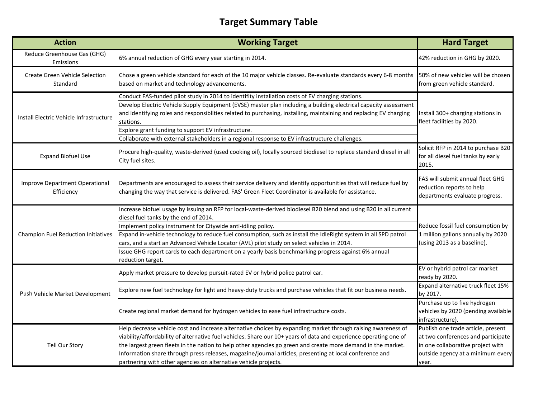### **Target Summary Table**

| <b>Action</b>                                                                                                                                                                                                                                                                                                                                                                                                                                                                                                                                               | <b>Working Target</b>                                                                                                                                                                                                                                                                                                                                                                                                                                                                                                                                                    | <b>Hard Target</b>                                                                                                                                          |
|-------------------------------------------------------------------------------------------------------------------------------------------------------------------------------------------------------------------------------------------------------------------------------------------------------------------------------------------------------------------------------------------------------------------------------------------------------------------------------------------------------------------------------------------------------------|--------------------------------------------------------------------------------------------------------------------------------------------------------------------------------------------------------------------------------------------------------------------------------------------------------------------------------------------------------------------------------------------------------------------------------------------------------------------------------------------------------------------------------------------------------------------------|-------------------------------------------------------------------------------------------------------------------------------------------------------------|
| Reduce Greenhouse Gas (GHG)<br>Emissions                                                                                                                                                                                                                                                                                                                                                                                                                                                                                                                    | 6% annual reduction of GHG every year starting in 2014.                                                                                                                                                                                                                                                                                                                                                                                                                                                                                                                  | 42% reduction in GHG by 2020.                                                                                                                               |
| <b>Create Green Vehicle Selection</b><br>Standard                                                                                                                                                                                                                                                                                                                                                                                                                                                                                                           | Chose a green vehicle standard for each of the 10 major vehicle classes. Re-evaluate standards every 6-8 months<br>based on market and technology advancements.                                                                                                                                                                                                                                                                                                                                                                                                          | 50% of new vehicles will be chosen<br>from green vehicle standard.                                                                                          |
| Conduct FAS-funded pilot study in 2014 to identifity installation costs of EV charging stations.<br>Develop Electric Vehicle Supply Equipment (EVSE) master plan including a building electrical capacity assessment<br>and identifying roles and responsiblities related to purchasing, installing, maintaining and replacing EV charging<br>Install Electric Vehicle Infrastructure<br>stations.<br>Explore grant funding to support EV infrastructure.<br>Collaborate with external stakeholders in a regional response to EV infrastructure challenges. |                                                                                                                                                                                                                                                                                                                                                                                                                                                                                                                                                                          | Install 300+ charging stations in<br>fleet facilities by 2020.                                                                                              |
| <b>Expand Biofuel Use</b>                                                                                                                                                                                                                                                                                                                                                                                                                                                                                                                                   | Procure high-quality, waste-derived (used cooking oil), locally sourced biodiesel to replace standard diesel in all<br>City fuel sites.                                                                                                                                                                                                                                                                                                                                                                                                                                  | Solicit RFP in 2014 to purchase B20<br>for all diesel fuel tanks by early<br>2015.                                                                          |
| Improve Department Operational<br>Efficiency                                                                                                                                                                                                                                                                                                                                                                                                                                                                                                                | Departments are encouraged to assess their service delivery and identify opportunities that will reduce fuel by<br>changing the way that service is delivered. FAS' Green Fleet Coordinator is available for assistance.                                                                                                                                                                                                                                                                                                                                                 | FAS will submit annual fleet GHG<br>reduction reports to help<br>departments evaluate progress.                                                             |
| Champion Fuel Reduction Initiatives                                                                                                                                                                                                                                                                                                                                                                                                                                                                                                                         | Increase biofuel usage by issuing an RFP for local-waste-derived biodiesel B20 blend and using B20 in all current<br>diesel fuel tanks by the end of 2014.<br>Implement policy instrument for Citywide anti-idling policy.<br>Expand in-vehicle technology to reduce fuel consumption, such as install the IdleRight system in all SPD patrol<br>cars, and a start an Advanced Vehicle Locator (AVL) pilot study on select vehicles in 2014.<br>Issue GHG report cards to each department on a yearly basis benchmarking progress against 6% annual<br>reduction target. | Reduce fossil fuel consumption by<br>1 million gallons annually by 2020<br>(using 2013 as a baseline).                                                      |
|                                                                                                                                                                                                                                                                                                                                                                                                                                                                                                                                                             | Apply market pressure to develop pursuit-rated EV or hybrid police patrol car.                                                                                                                                                                                                                                                                                                                                                                                                                                                                                           | EV or hybrid patrol car market<br>ready by 2020.                                                                                                            |
| Push Vehicle Market Development                                                                                                                                                                                                                                                                                                                                                                                                                                                                                                                             | Explore new fuel technology for light and heavy-duty trucks and purchase vehicles that fit our business needs.                                                                                                                                                                                                                                                                                                                                                                                                                                                           | Expand alternative truck fleet 15%<br>by 2017.                                                                                                              |
|                                                                                                                                                                                                                                                                                                                                                                                                                                                                                                                                                             | Create regional market demand for hydrogen vehicles to ease fuel infrastructure costs.                                                                                                                                                                                                                                                                                                                                                                                                                                                                                   | Purchase up to five hydrogen<br>vehicles by 2020 (pending available<br>infrastructure).                                                                     |
| Tell Our Story                                                                                                                                                                                                                                                                                                                                                                                                                                                                                                                                              | Help decrease vehicle cost and increase alternative choices by expanding market through raising awareness of<br>viability/affordability of alternative fuel vehicles. Share our 10+ years of data and experience operating one of<br>the largest green fleets in the nation to help other agencies go green and create more demand in the market.<br>Information share through press releases, magazine/journal articles, presenting at local conference and<br>partnering with other agencies on alternative vehicle projects.                                          | Publish one trade article, present<br>at two conferences and participate<br>in one collaborative project with<br>outside agency at a minimum every<br>year. |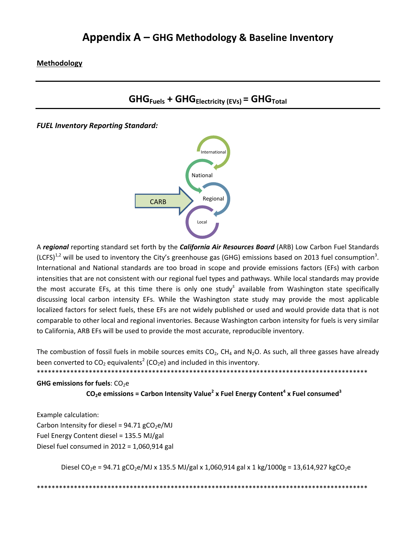**Methodology**



*FUEL Inventory Reporting Standard:*



A *regional* reporting standard set forth by the *California Air Resources Board* (ARB) Low Carbon Fuel Standards (LCFS)<sup>1,2</sup> will be used to inventory the City's greenhouse gas (GHG) emissions based on 2013 fuel consumption<sup>3</sup>. International and National standards are too broad in scope and provide emissions factors (EFs) with carbon intensities that are not consistent with our regional fuel types and pathways. While local standards may provide the most accurate EFs, at this time there is only one study $<sup>±</sup>$  available from Washington state specifically</sup> discussing local carbon intensity EFs. While the Washington state study may provide the most applicable localized factors for select fuels, these EFs are not widely published or used and would provide data that is not comparable to other local and regional inventories. Because Washington carbon intensity for fuels is very similar to California, ARB EFs will be used to provide the most accurate, reproducible inventory.

The combustion of fossil fuels in mobile sources emits  $CO<sub>2</sub>$ , CH<sub>4</sub> and N<sub>2</sub>O. As such, all three gasses have already been converted to  $CO<sub>2</sub>$  equivalents<sup>2</sup> (CO<sub>2</sub>e) and included in this inventory.

\*\*\*\*\*\*\*\*\*\*\*\*\*\*\*\*\*\*\*\*\*\*\*\*\*\*\*\*\*\*\*\*\*\*\*\*\*\*\*\*\*\*\*\*\*\*\*\*\*\*\*\*\*\*\*\*\*\*\*\*\*\*\*\*\*\*\*\*\*\*\*\*\*\*\*\*\*\*\*\*\*\*\*\*\*\*\*\*\*

**GHG** emissions for fuels: CO<sub>2</sub>e

 $CO<sub>2</sub>e$  **emissions** = Carbon Intensity Value<sup>2</sup> x Fuel Energy Content<sup>4</sup> x Fuel consumed<sup>3</sup>

Example calculation: Carbon Intensity for diesel =  $94.71$  gCO<sub>2</sub>e/MJ Fuel Energy Content diesel = 135.5 MJ/gal Diesel fuel consumed in 2012 = 1,060,914 gal

Diesel CO<sub>2</sub>e = 94.71 gCO<sub>2</sub>e/MJ x 135.5 MJ/gal x 1,060,914 gal x 1 kg/1000g = 13,614,927 kgCO<sub>2</sub>e

\*\*\*\*\*\*\*\*\*\*\*\*\*\*\*\*\*\*\*\*\*\*\*\*\*\*\*\*\*\*\*\*\*\*\*\*\*\*\*\*\*\*\*\*\*\*\*\*\*\*\*\*\*\*\*\*\*\*\*\*\*\*\*\*\*\*\*\*\*\*\*\*\*\*\*\*\*\*\*\*\*\*\*\*\*\*\*\*\*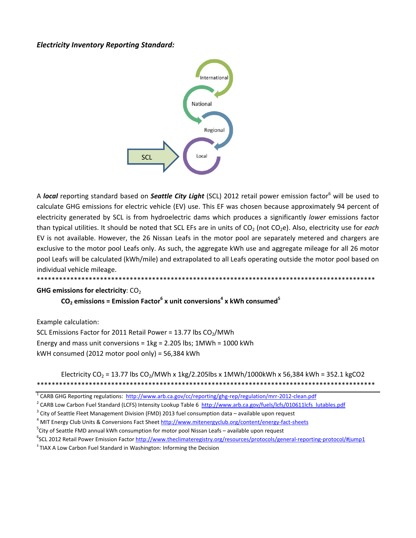#### **Electricity Inventory Reporting Standard:**



A local reporting standard based on Seattle City Light (SCL) 2012 retail power emission factor<sup>6</sup> will be used to calculate GHG emissions for electric vehicle (EV) use. This EF was chosen because approximately 94 percent of electricity generated by SCL is from hydroelectric dams which produces a significantly lower emissions factor than typical utilities. It should be noted that SCL EFs are in units of CO<sub>2</sub> (not CO<sub>2</sub>e). Also, electricity use for each EV is not available. However, the 26 Nissan Leafs in the motor pool are separately metered and chargers are exclusive to the motor pool Leafs only. As such, the aggregate kWh use and aggregate mileage for all 26 motor pool Leafs will be calculated (kWh/mile) and extrapolated to all Leafs operating outside the motor pool based on individual vehicle mileage. \*\*\*\*\*\*\*\*\*\*\*\*\*\*\*\*\*\*\*

#### **GHG emissions for electricity: CO<sub>2</sub>**

 $CO<sub>2</sub>$  emissions = Emission Factor<sup>6</sup> x unit conversions<sup>4</sup> x kWh consumed<sup>5</sup>

Example calculation:

SCL Emissions Factor for 2011 Retail Power = 13.77 lbs CO<sub>2</sub>/MWh Energy and mass unit conversions =  $1kg = 2.205$  lbs;  $1MWh = 1000$  kWh kWH consumed (2012 motor pool only) = 56,384 kWh

#### Electricity CO<sub>2</sub> = 13.77 lbs CO<sub>2</sub>/MWh x 1kg/2.205lbs x 1MWh/1000kWh x 56,384 kWh = 352.1 kgCO2

<sup>&</sup>lt;sup>1</sup> CARB GHG Reporting regulations: http://www.arb.ca.gov/cc/reporting/ghg-rep/regulation/mrr-2012-clean.pdf

<sup>&</sup>lt;sup>2</sup> CARB Low Carbon Fuel Standard (LCFS) Intensity Lookup Table 6 http://www.arb.ca.gov/fuels/lcfs/010611lcfs lutables.pdf

 $3$  City of Seattle Fleet Management Division (FMD) 2013 fuel consumption data - available upon request

<sup>&</sup>lt;sup>4</sup> MIT Energy Club Units & Conversions Fact Sheet http://www.mitenergyclub.org/content/energy-fact-sheets

<sup>&</sup>lt;sup>5</sup>City of Seattle FMD annual kWh consumption for motor pool Nissan Leafs - available upon request

<sup>&</sup>lt;sup>6</sup>SCL 2012 Retail Power Emission Factor http://www.theclimateregistry.org/resources/protocols/general-reporting-protocol/#jump1

<sup>&</sup>lt;sup>±</sup> TIAX A Low Carbon Fuel Standard in Washington: Informing the Decision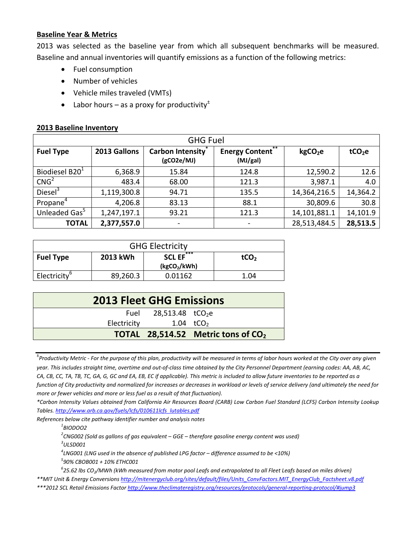#### **Baseline Year & Metrics**

2013 was selected as the baseline year from which all subsequent benchmarks will be measured. Baseline and annual inventories will quantify emissions as a function of the following metrics:

- Fuel consumption
- Number of vehicles
- Vehicle miles traveled (VMTs)
- Labor hours as a proxy for productivity $\pm$

#### **2013 Baseline Inventory**

| <b>GHG Fuel</b>            |              |                                       |                                            |                     |                    |  |
|----------------------------|--------------|---------------------------------------|--------------------------------------------|---------------------|--------------------|--|
| <b>Fuel Type</b>           | 2013 Gallons | <b>Carbon Intensity</b><br>(gCO2e/MJ) | $***$<br><b>Energy Content</b><br>(MJ/gal) | kgCO <sub>2</sub> e | tCO <sub>2</sub> e |  |
| Biodiesel B20 <sup>1</sup> | 6,368.9      | 15.84                                 | 124.8                                      | 12,590.2            | 12.6               |  |
| CNG <sup>2</sup>           | 483.4        | 68.00                                 | 121.3                                      | 3,987.1             | 4.0                |  |
| Diesel <sup>3</sup>        | 1,119,300.8  | 94.71                                 | 135.5                                      | 14,364,216.5        | 14,364.2           |  |
| Propane <sup>4</sup>       | 4,206.8      | 83.13                                 | 88.1                                       | 30,809.6            | 30.8               |  |
| Unleaded Gas <sup>5</sup>  | 1,247,197.1  | 93.21                                 | 121.3                                      | 14,101,881.1        | 14,101.9           |  |
| <b>TOTAL</b>               | 2,377,557.0  | $\qquad \qquad \blacksquare$          | $\qquad \qquad \blacksquare$               | 28,513,484.5        | 28,513.5           |  |

| <b>GHG Electricity</b>   |          |                                                  |                  |  |  |
|--------------------------|----------|--------------------------------------------------|------------------|--|--|
| <b>Fuel Type</b>         | 2013 kWh | ***<br><b>SCL EF</b><br>(kgCO <sub>2</sub> /kWh) | tCO <sub>2</sub> |  |  |
| Electricity <sup>b</sup> | 89,260.3 | 0.01162                                          | 1.04             |  |  |

| <b>2013 Fleet GHG Emissions</b> |                        |                                             |  |  |
|---------------------------------|------------------------|---------------------------------------------|--|--|
|                                 | Fuel 28,513.48 $tCO2e$ |                                             |  |  |
| Electricity                     | 1.04 $tCO2$            |                                             |  |  |
|                                 |                        | <b>TOTAL</b> 28,514.52 Metric tons of $CO2$ |  |  |

<u>.</u><br>"Productivity Metric - For the purpose of this plan, productivity will be measured in terms of labor hours worked at the City over any given

year. This includes straight time, overtime and out-of-class time obtained by the City Personnel Department (earning codes: AA, AB, AC, CA, CB, CC, TA, TB, TC, GA, G, GC and EA, EB, EC if applicable). This metric is included to allow future inventories to be reported as a function of City productivity and normalized for increases or decreases in workload or levels of service delivery (and ultimately the need for *more or fewer vehicles and more or less fuel as a result of that fluctuation).*

\*Carbon Intensity Values obtained from California Air Resources Board (CARB) Low Carbon Fuel Standard (LCFS) Carbon Intensity Lookup *Tables. http://www.arb.ca.gov/fuels/lcfs/010611lcfs\_lutables.pdf*

*References below cite pathway identifier number and analysis notes*

*1 BIODOO2*

*2 CNG002 (Sold as gallons of gas equivalent – GGE – therefore gasoline energy content was used) 3 ULSD001*

*4 LNG001 (LNG used in the absence of published LPG factor – difference assumed to be <10%) 5 90% CBOB001 + 10% ETHC001*

 $^6$ 25.62 lbs CO $_2$ /MWh (kWh measured from motor pool Leafs and extrapolated to all Fleet Leafs based on miles driven)

*\*\*MIT Unit & Energy Conversions http://mitenergyclub.org/sites/default/files/Units\_ConvFactors.MIT\_EnergyClub\_Factsheet.v8.pdf* 

*\*\*\*2012 SCL Retail Emissions Factor http://www.theclimateregistry.org/resources/protocols/general‐reporting‐protocol/#jump3*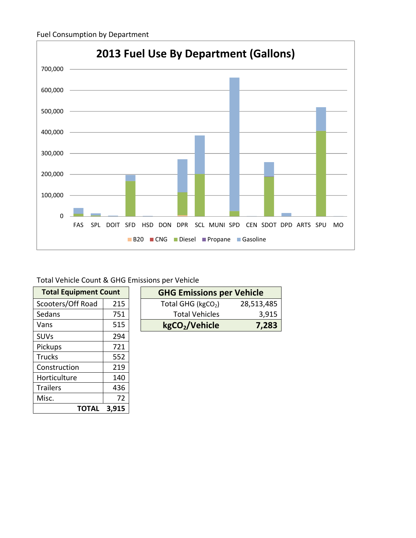

Total Vehicle Count & GHG Emissions per Vehicle

| <b>Total Equipment Count</b> |       |  | <b>GHG Emissions</b>       |
|------------------------------|-------|--|----------------------------|
| Scooters/Off Road            | 215   |  | Total GHG ( $kgCO2$ )      |
| Sedans                       | 751   |  | <b>Total Vehicles</b>      |
| Vans                         | 515   |  | kgCO <sub>2</sub> /Vehicle |
| <b>SUVs</b>                  | 294   |  |                            |
| Pickups                      | 721   |  |                            |
| <b>Trucks</b>                | 552   |  |                            |
| Construction                 | 219   |  |                            |
| Horticulture                 | 140   |  |                            |
| <b>Trailers</b>              | 436   |  |                            |
| Misc.                        | 72    |  |                            |
| <b>TOTAL</b>                 | 3,915 |  |                            |

| <b>Total Equipment Count</b> |     |  | <b>GHG Emissions per Vehicle</b> |            |
|------------------------------|-----|--|----------------------------------|------------|
| Scooters/Off Road            | 215 |  | Total GHG ( $kgCO2$ )            | 28,513,485 |
| Sedans                       | 751 |  | <b>Total Vehicles</b>            | 3,915      |
| Vans                         | 515 |  | kgCO <sub>2</sub> /Vehicle       | 7,283      |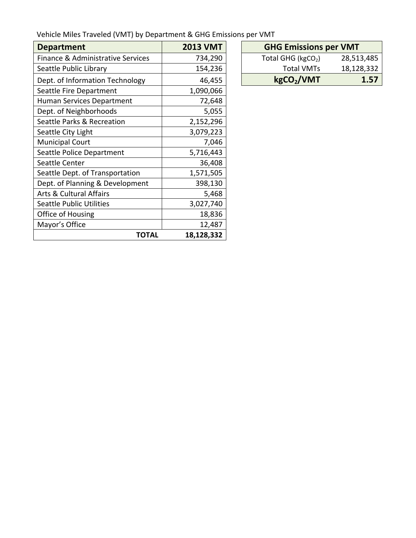| Vehicle Miles Traveled (VMT) by Department & GHG Emissions per VMT |  |  |
|--------------------------------------------------------------------|--|--|
|--------------------------------------------------------------------|--|--|

| <b>Department</b>                  | <b>2013 VMT</b> | <b>GHG Emissions per VMT</b>        |
|------------------------------------|-----------------|-------------------------------------|
| Finance & Administrative Services  | 734,290         | Total GHG ( $kgCO2$ )<br>28,513,485 |
| Seattle Public Library             | 154,236         | 18,128,332<br><b>Total VMTs</b>     |
| Dept. of Information Technology    | 46,455          | kgCO <sub>2</sub> /VMT<br>1.57      |
| Seattle Fire Department            | 1,090,066       |                                     |
| Human Services Department          | 72,648          |                                     |
| Dept. of Neighborhoods             | 5,055           |                                     |
| Seattle Parks & Recreation         | 2,152,296       |                                     |
| Seattle City Light                 | 3,079,223       |                                     |
| <b>Municipal Court</b>             | 7,046           |                                     |
| Seattle Police Department          | 5,716,443       |                                     |
| Seattle Center                     | 36,408          |                                     |
| Seattle Dept. of Transportation    | 1,571,505       |                                     |
| Dept. of Planning & Development    | 398,130         |                                     |
| <b>Arts &amp; Cultural Affairs</b> | 5,468           |                                     |
| <b>Seattle Public Utilities</b>    | 3,027,740       |                                     |
| Office of Housing                  | 18,836          |                                     |
| Mayor's Office                     | 12,487          |                                     |
| <b>TOTAL</b>                       | 18,128,332      |                                     |

| <b>GHG Emissions per VMT</b> |            |  |  |  |
|------------------------------|------------|--|--|--|
| Total GHG ( $kgCO2$ )        | 28,513,485 |  |  |  |
| <b>Total VMTs</b>            | 18,128,332 |  |  |  |
| kgCO <sub>2</sub> /VMT       | 1.57       |  |  |  |